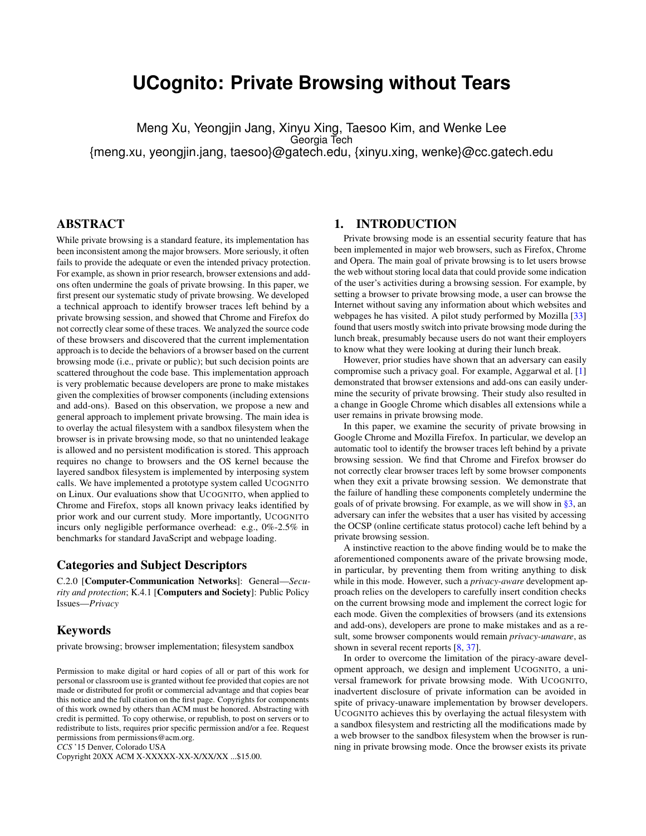# **UCognito: Private Browsing without Tears**

Meng Xu, Yeongjin Jang, Xinyu Xing, Taesoo Kim, and Wenke Lee Georgia Tech {meng.xu, yeongjin.jang, taesoo}@gatech.edu, {xinyu.xing, wenke}@cc.gatech.edu

ABSTRACT

While private browsing is a standard feature, its implementation has been inconsistent among the major browsers. More seriously, it often fails to provide the adequate or even the intended privacy protection. For example, as shown in prior research, browser extensions and addons often undermine the goals of private browsing. In this paper, we first present our systematic study of private browsing. We developed a technical approach to identify browser traces left behind by a private browsing session, and showed that Chrome and Firefox do not correctly clear some of these traces. We analyzed the source code of these browsers and discovered that the current implementation approach is to decide the behaviors of a browser based on the current browsing mode (i.e., private or public); but such decision points are scattered throughout the code base. This implementation approach is very problematic because developers are prone to make mistakes given the complexities of browser components (including extensions and add-ons). Based on this observation, we propose a new and general approach to implement private browsing. The main idea is to overlay the actual filesystem with a sandbox filesystem when the browser is in private browsing mode, so that no unintended leakage is allowed and no persistent modification is stored. This approach requires no change to browsers and the OS kernel because the layered sandbox filesystem is implemented by interposing system calls. We have implemented a prototype system called UCOGNITO on Linux. Our evaluations show that UCOGNITO, when applied to Chrome and Firefox, stops all known privacy leaks identified by prior work and our current study. More importantly, UCOGNITO incurs only negligible performance overhead: e.g., 0%-2.5% in benchmarks for standard JavaScript and webpage loading.

### Categories and Subject Descriptors

C.2.0 [Computer-Communication Networks]: General—*Security and protection*; K.4.1 [Computers and Society]: Public Policy Issues—*Privacy*

### Keywords

private browsing; browser implementation; filesystem sandbox

*CCS* '15 Denver, Colorado USA

Copyright 20XX ACM X-XXXXX-XX-X/XX/XX ...\$15.00.

# 1. INTRODUCTION

Private browsing mode is an essential security feature that has been implemented in major web browsers, such as Firefox, Chrome and Opera. The main goal of private browsing is to let users browse the web without storing local data that could provide some indication of the user's activities during a browsing session. For example, by setting a browser to private browsing mode, a user can browse the Internet without saving any information about which websites and webpages he has visited. A pilot study performed by Mozilla [\[33\]](#page-11-0) found that users mostly switch into private browsing mode during the lunch break, presumably because users do not want their employers to know what they were looking at during their lunch break.

However, prior studies have shown that an adversary can easily compromise such a privacy goal. For example, Aggarwal et al. [\[1\]](#page-10-0) demonstrated that browser extensions and add-ons can easily undermine the security of private browsing. Their study also resulted in a change in Google Chrome which disables all extensions while a user remains in private browsing mode.

In this paper, we examine the security of private browsing in Google Chrome and Mozilla Firefox. In particular, we develop an automatic tool to identify the browser traces left behind by a private browsing session. We find that Chrome and Firefox browser do not correctly clear browser traces left by some browser components when they exit a private browsing session. We demonstrate that the failure of handling these components completely undermine the goals of of private browsing. For example, as we will show in [§3,](#page-3-0) an adversary can infer the websites that a user has visited by accessing the OCSP (online certificate status protocol) cache left behind by a private browsing session.

A instinctive reaction to the above finding would be to make the aforementioned components aware of the private browsing mode, in particular, by preventing them from writing anything to disk while in this mode. However, such a *privacy-aware* development approach relies on the developers to carefully insert condition checks on the current browsing mode and implement the correct logic for each mode. Given the complexities of browsers (and its extensions and add-ons), developers are prone to make mistakes and as a result, some browser components would remain *privacy-unaware*, as shown in several recent reports [\[8,](#page-11-1) [37\]](#page-11-2).

In order to overcome the limitation of the piracy-aware development approach, we design and implement UCOGNITO, a universal framework for private browsing mode. With UCOGNITO, inadvertent disclosure of private information can be avoided in spite of privacy-unaware implementation by browser developers. UCOGNITO achieves this by overlaying the actual filesystem with a sandbox filesystem and restricting all the modifications made by a web browser to the sandbox filesystem when the browser is running in private browsing mode. Once the browser exists its private

Permission to make digital or hard copies of all or part of this work for personal or classroom use is granted without fee provided that copies are not made or distributed for profit or commercial advantage and that copies bear this notice and the full citation on the first page. Copyrights for components of this work owned by others than ACM must be honored. Abstracting with credit is permitted. To copy otherwise, or republish, to post on servers or to redistribute to lists, requires prior specific permission and/or a fee. Request permissions from permissions@acm.org.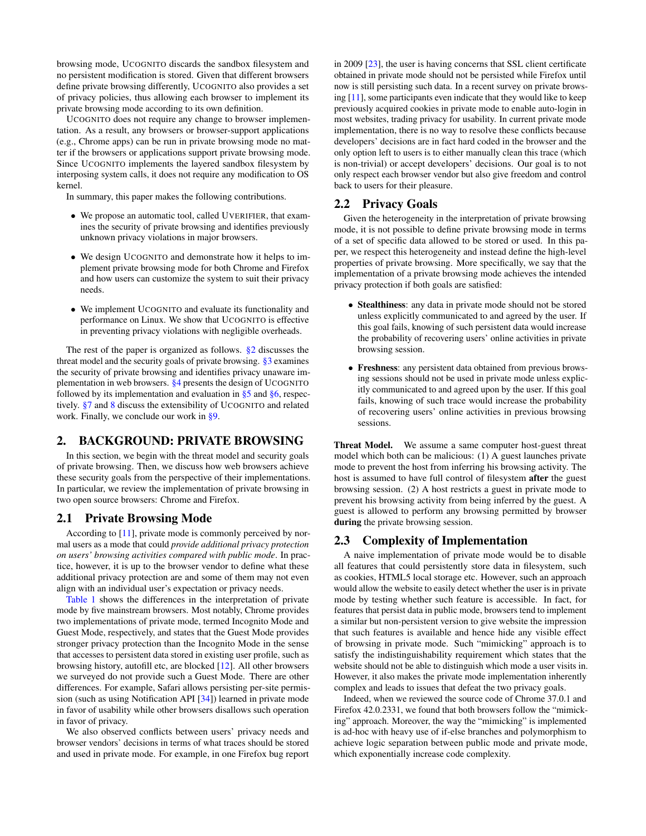browsing mode, UCOGNITO discards the sandbox filesystem and no persistent modification is stored. Given that different browsers define private browsing differently, UCOGNITO also provides a set of privacy policies, thus allowing each browser to implement its private browsing mode according to its own definition.

UCOGNITO does not require any change to browser implementation. As a result, any browsers or browser-support applications (e.g., Chrome apps) can be run in private browsing mode no matter if the browsers or applications support private browsing mode. Since UCOGNITO implements the layered sandbox filesystem by interposing system calls, it does not require any modification to OS kernel.

In summary, this paper makes the following contributions.

- We propose an automatic tool, called UVERIFIER, that examines the security of private browsing and identifies previously unknown privacy violations in major browsers.
- We design UCOGNITO and demonstrate how it helps to implement private browsing mode for both Chrome and Firefox and how users can customize the system to suit their privacy needs.
- We implement UCOGNITO and evaluate its functionality and performance on Linux. We show that UCOGNITO is effective in preventing privacy violations with negligible overheads.

The rest of the paper is organized as follows. [§2](#page-1-0) discusses the threat model and the security goals of private browsing. [§3](#page-3-0) examines the security of private browsing and identifies privacy unaware implementation in web browsers. [§4](#page-4-0) presents the design of UCOGNITO followed by its implementation and evaluation in [§5](#page-6-0) and [§6,](#page-7-0) respectively. [§7](#page-9-0) and [8](#page-10-1) discuss the extensibility of UCOGNITO and related work. Finally, we conclude our work in [§9.](#page-10-2)

# <span id="page-1-0"></span>2. BACKGROUND: PRIVATE BROWSING

In this section, we begin with the threat model and security goals of private browsing. Then, we discuss how web browsers achieve these security goals from the perspective of their implementations. In particular, we review the implementation of private browsing in two open source browsers: Chrome and Firefox.

## <span id="page-1-3"></span>2.1 Private Browsing Mode

According to [\[11\]](#page-11-3), private mode is commonly perceived by normal users as a mode that could *provide additional privacy protection on users' browsing activities compared with public mode*. In practice, however, it is up to the browser vendor to define what these additional privacy protection are and some of them may not even align with an individual user's expectation or privacy needs.

[Table 1](#page-2-0) shows the differences in the interpretation of private mode by five mainstream browsers. Most notably, Chrome provides two implementations of private mode, termed Incognito Mode and Guest Mode, respectively, and states that the Guest Mode provides stronger privacy protection than the Incognito Mode in the sense that accesses to persistent data stored in existing user profile, such as browsing history, autofill etc, are blocked [\[12\]](#page-11-4). All other browsers we surveyed do not provide such a Guest Mode. There are other differences. For example, Safari allows persisting per-site permission (such as using Notification API [\[34\]](#page-11-5)) learned in private mode in favor of usability while other browsers disallows such operation in favor of privacy.

We also observed conflicts between users' privacy needs and browser vendors' decisions in terms of what traces should be stored and used in private mode. For example, in one Firefox bug report in 2009 [\[23\]](#page-11-6), the user is having concerns that SSL client certificate obtained in private mode should not be persisted while Firefox until now is still persisting such data. In a recent survey on private browsing  $[11]$ , some participants even indicate that they would like to keep previously acquired cookies in private mode to enable auto-login in most websites, trading privacy for usability. In current private mode implementation, there is no way to resolve these conflicts because developers' decisions are in fact hard coded in the browser and the only option left to users is to either manually clean this trace (which is non-trivial) or accept developers' decisions. Our goal is to not only respect each browser vendor but also give freedom and control back to users for their pleasure.

### <span id="page-1-2"></span>2.2 Privacy Goals

Given the heterogeneity in the interpretation of private browsing mode, it is not possible to define private browsing mode in terms of a set of specific data allowed to be stored or used. In this paper, we respect this heterogeneity and instead define the high-level properties of private browsing. More specifically, we say that the implementation of a private browsing mode achieves the intended privacy protection if both goals are satisfied:

- Stealthiness: any data in private mode should not be stored unless explicitly communicated to and agreed by the user. If this goal fails, knowing of such persistent data would increase the probability of recovering users' online activities in private browsing session.
- Freshness: any persistent data obtained from previous browsing sessions should not be used in private mode unless explicitly communicated to and agreed upon by the user. If this goal fails, knowing of such trace would increase the probability of recovering users' online activities in previous browsing sessions.

Threat Model. We assume a same computer host-guest threat model which both can be malicious: (1) A guest launches private mode to prevent the host from inferring his browsing activity. The host is assumed to have full control of filesystem after the guest browsing session. (2) A host restricts a guest in private mode to prevent his browsing activity from being inferred by the guest. A guest is allowed to perform any browsing permitted by browser during the private browsing session.

### <span id="page-1-1"></span>2.3 Complexity of Implementation

A naive implementation of private mode would be to disable all features that could persistently store data in filesystem, such as cookies, HTML5 local storage etc. However, such an approach would allow the website to easily detect whether the user is in private mode by testing whether such feature is accessible. In fact, for features that persist data in public mode, browsers tend to implement a similar but non-persistent version to give website the impression that such features is available and hence hide any visible effect of browsing in private mode. Such "mimicking" approach is to satisfy the indistinguishability requirement which states that the website should not be able to distinguish which mode a user visits in. However, it also makes the private mode implementation inherently complex and leads to issues that defeat the two privacy goals.

Indeed, when we reviewed the source code of Chrome 37.0.1 and Firefox 42.0.2331, we found that both browsers follow the "mimicking" approach. Moreover, the way the "mimicking" is implemented is ad-hoc with heavy use of if-else branches and polymorphism to achieve logic separation between public mode and private mode, which exponentially increase code complexity.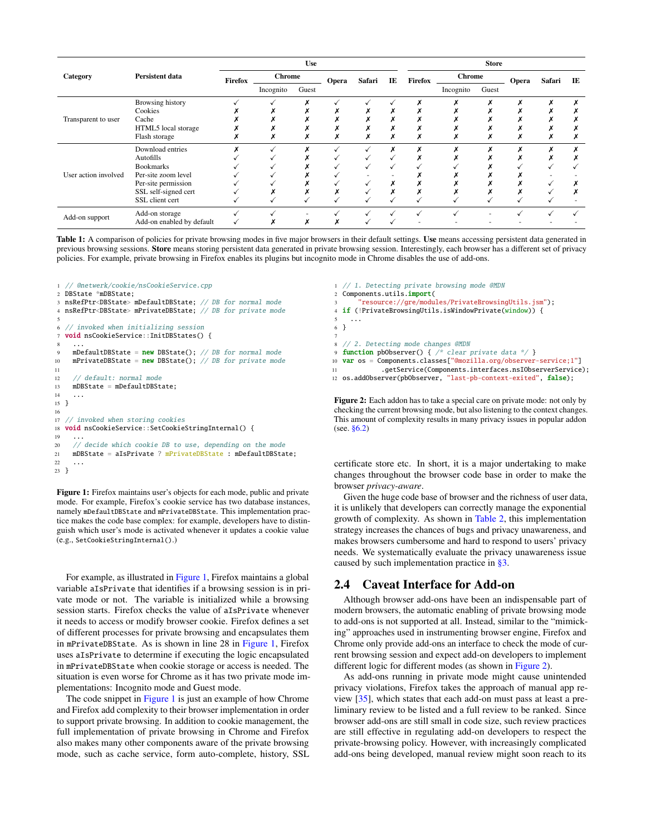<span id="page-2-0"></span>

|                      |                           | <b>Use</b> |               |            |       | <b>Store</b> |    |                |               |       |        |        |    |
|----------------------|---------------------------|------------|---------------|------------|-------|--------------|----|----------------|---------------|-------|--------|--------|----|
| Category             | <b>Persistent data</b>    | Firefox    | <b>Chrome</b> |            | Opera | Safari       | IE | <b>Firefox</b> | <b>Chrome</b> |       | Opera  | Safari | IE |
|                      |                           |            | Incognito     | Guest      |       |              |    |                | Incognito     | Guest |        |        |    |
|                      | Browsing history          |            |               | ⋏          |       |              |    | х              | ^             |       | ^      |        |    |
|                      | Cookies                   |            |               |            |       |              |    | ^              |               |       |        |        |    |
| Transparent to user  | Cache                     |            |               |            |       |              |    |                |               |       |        |        |    |
|                      | HTML5 local storage       |            |               |            |       |              |    | ^              |               |       |        |        |    |
|                      | Flash storage             |            | ^             |            | ↗     | v            | ↗  | ^              |               | ◠     | ^      |        |    |
|                      | Download entries          |            |               |            |       |              | x  | х              |               |       | v<br>^ |        |    |
|                      | Autofills                 |            |               |            |       |              |    | v              |               |       |        |        |    |
|                      | <b>Bookmarks</b>          |            |               |            |       |              |    |                |               |       |        |        |    |
| User action involved | Per-site zoom level       |            |               |            |       |              |    |                |               |       |        |        |    |
|                      | Per-site permission       |            |               |            |       |              | v  |                |               |       |        |        |    |
|                      | SSL self-signed cert      |            |               |            |       |              | ́  | ^              |               |       |        |        |    |
|                      | SSL client cert           |            |               | $\sqrt{ }$ |       | $\sqrt{ }$   | √  | √              | v             |       |        |        |    |
| Add-on support       | Add-on storage            |            |               |            |       |              |    |                |               |       |        |        |    |
|                      | Add-on enabled by default |            | ^             | x          | ^     |              |    |                |               |       |        |        |    |

Table 1: A comparison of policies for private browsing modes in five major browsers in their default settings. Use means accessing persistent data generated in previous browsing sessions. Store means storing persistent data generated in private browsing session. Interestingly, each browser has a different set of privacy policies. For example, private browsing in Firefox enables its plugins but incognito mode in Chrome disables the use of add-ons.

```
1 // @netwerk/cookie/nsCookieService.cpp
2 DBState *mDBState;
 3 nsRefPtr<DBState> mDefaultDBState; // DB for normal mode
4 nsRefPtr<DBState> mPrivateDBState; // DB for private mode
 5
6 // invoked when initializing session
7 void nsCookieService::InitDBStates() {
 8 ...
     mDefaultDBState = new DBState(); // DB for normal mode
10 mPrivateDBState = new DBState(); // DB for private mode
11
12 // default: normal mode
13 mDBState = mDefaultDBState;
1415 }
16
17 // invoked when storing cookies
18 void nsCookieService::SetCookieStringInternal() {
19 ...
20 // decide which cookie DB to use, depending on the mode
21 mDBState = aIsPrivate ? mPrivateDBState : mDefaultDBState;
22 \ldots\frac{1}{23} }
```
Figure 1: Firefox maintains user's objects for each mode, public and private mode. For example, Firefox's cookie service has two database instances, namely mDefaultDBState and mPrivateDBState. This implementation practice makes the code base complex: for example, developers have to distinguish which user's mode is activated whenever it updates a cookie value (e.g., SetCookieStringInternal().)

For example, as illustrated in [Figure 1,](#page-2-1) Firefox maintains a global variable aIsPrivate that identifies if a browsing session is in private mode or not. The variable is initialized while a browsing session starts. Firefox checks the value of aIsPrivate whenever it needs to access or modify browser cookie. Firefox defines a set of different processes for private browsing and encapsulates them in mPrivateDBState. As is shown in line 28 in [Figure 1,](#page-2-1) Firefox uses aIsPrivate to determine if executing the logic encapsulated in mPrivateDBState when cookie storage or access is needed. The situation is even worse for Chrome as it has two private mode implementations: Incognito mode and Guest mode.

The code snippet in [Figure 1](#page-2-1) is just an example of how Chrome and Firefox add complexity to their browser implementation in order to support private browsing. In addition to cookie management, the full implementation of private browsing in Chrome and Firefox also makes many other components aware of the private browsing mode, such as cache service, form auto-complete, history, SSL

```
1 // 1. Detecting private browsing mode @MDN
2 Components.utils.import(
       "resource://gre/modules/PrivateBrowsingUtils.jsm");
4 if (!PrivateBrowsingUtils.isWindowPrivate(window)) {
 5 ...
6 }
 7
8 // 2. Detecting mode changes @MDN
9 function pbObserver() { /* clear private data */ }
10 var os = Components.classes["@mozilla.org/observer-service;1"]
11 .getService(Components.interfaces.nsIObserverService);
12 os.addObserver(pbObserver, "last-pb-context-exited", false);
```
Figure 2: Each addon has to take a special care on private mode: not only by checking the current browsing mode, but also listening to the context changes. This amount of complexity results in many privacy issues in popular addon (see. [§6.2\)](#page-8-0)

certificate store etc. In short, it is a major undertaking to make changes throughout the browser code base in order to make the browser *privacy-aware*.

Given the huge code base of browser and the richness of user data, it is unlikely that developers can correctly manage the exponential growth of complexity. As shown in [Table 2,](#page-3-1) this implementation strategy increases the chances of bugs and privacy unawareness, and makes browsers cumbersome and hard to respond to users' privacy needs. We systematically evaluate the privacy unawareness issue caused by such implementation practice in [§3.](#page-3-0)

# <span id="page-2-3"></span>2.4 Caveat Interface for Add-on

Although browser add-ons have been an indispensable part of modern browsers, the automatic enabling of private browsing mode to add-ons is not supported at all. Instead, similar to the "mimicking" approaches used in instrumenting browser engine, Firefox and Chrome only provide add-ons an interface to check the mode of current browsing session and expect add-on developers to implement different logic for different modes (as shown in [Figure 2\)](#page-2-2).

As add-ons running in private mode might cause unintended privacy violations, Firefox takes the approach of manual app review [\[35\]](#page-11-7), which states that each add-on must pass at least a preliminary review to be listed and a full review to be ranked. Since browser add-ons are still small in code size, such review practices are still effective in regulating add-on developers to respect the private-browsing policy. However, with increasingly complicated add-ons being developed, manual review might soon reach to its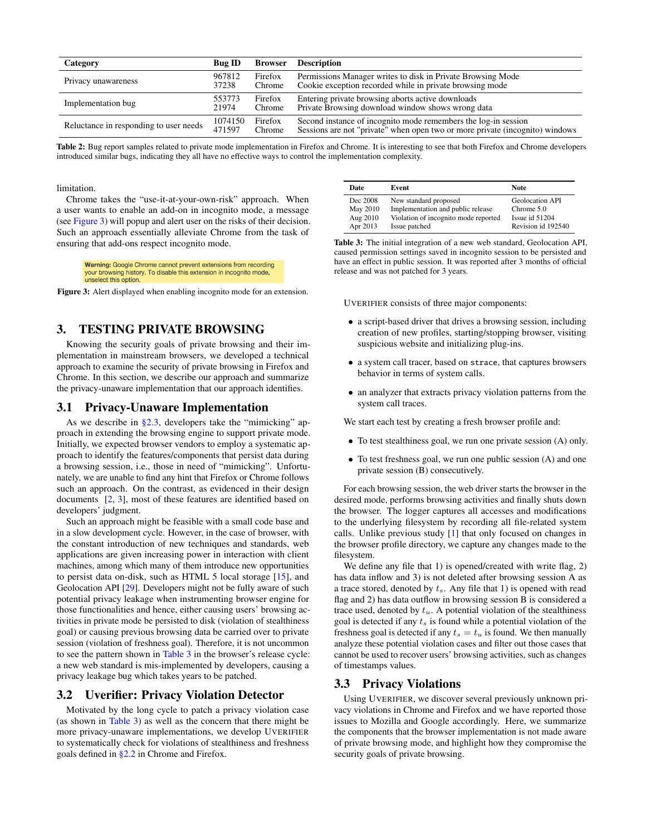<span id="page-3-1"></span>

| Category                               | Bug ID  | <b>Browser</b> | <b>Description</b>                                                           |
|----------------------------------------|---------|----------------|------------------------------------------------------------------------------|
| Privacy unawareness                    | 967812  | Firefox        | Permissions Manager writes to disk in Private Browsing Mode                  |
|                                        | 37238   | Chrome         | Cookie exception recorded while in private browsing mode                     |
| Implementation bug                     | 553773  | Firefox        | Entering private browsing aborts active downloads                            |
|                                        | 21974   | Chrome         | Private Browsing download window shows wrong data                            |
| Reluctance in responding to user needs | 1074150 | Firefox        | Second instance of incognito mode remembers the log-in session               |
|                                        | 471597  | Chrome         | Sessions are not "private" when open two or more private (incognito) windows |

Table 2: Bug report samples related to private mode implementation in Firefox and Chrome. It is interesting to see that both Firefox and Chrome developers introduced similar bugs, indicating they all have no effective ways to control the implementation complexity.

#### limitation.

Chrome takes the "use-it-at-your-own-risk" approach. When a user wants to enable an add-on in incognito mode, a message (see [Figure 3\)](#page-3-2) will popup and alert user on the risks of their decision. Such an approach essentially alleviate Chrome from the task of ensuring that add-ons respect incognito mode.

> <span id="page-3-2"></span>Warning: Google Chrome cannot prevent extensions from recording your browsing history. To disable this extension in incognito mode, unselect this option

Figure 3: Alert displayed when enabling incognito mode for an extension.

# <span id="page-3-0"></span>3. TESTING PRIVATE BROWSING

Knowing the security goals of private browsing and their implementation in mainstream browsers, we developed a technical approach to examine the security of private browsing in Firefox and Chrome. In this section, we describe our approach and summarize the privacy-unaware implementation that our approach identifies.

### 3.1 Privacy-Unaware Implementation

As we describe in  $\S2.3$ , developers take the "mimicking" approach in extending the browsing engine to support private mode. Initially, we expected browser vendors to employ a systematic approach to identify the features/components that persist data during a browsing session, i.e., those in need of "mimicking". Unfortunately, we are unable to find any hint that Firefox or Chrome follows such an approach. On the contrast, as evidenced in their design documents [\[2,](#page-10-3) [3\]](#page-10-4), most of these features are identified based on developers' judgment.

Such an approach might be feasible with a small code base and in a slow development cycle. However, in the case of browser, with the constant introduction of new techniques and standards, web applications are given increasing power in interaction with client machines, among which many of them introduce new opportunities to persist data on-disk, such as HTML 5 local storage [\[15\]](#page-11-8), and Geolocation API [\[29\]](#page-11-9). Developers might not be fully aware of such potential privacy leakage when instrumenting browser engine for those functionalities and hence, either causing users' browsing activities in private mode be persisted to disk (violation of stealthiness goal) or causing previous browsing data be carried over to private session (violation of freshness goal). Therefore, it is not uncommon to see the pattern shown in [Table 3](#page-3-3) in the browser's release cycle: a new web standard is mis-implemented by developers, causing a privacy leakage bug which takes years to be patched.

### 3.2 Uverifier: Privacy Violation Detector

Motivated by the long cycle to patch a privacy violation case (as shown in [Table 3\)](#page-3-3) as well as the concern that there might be more privacy-unaware implementations, we develop UVERIFIER to systematically check for violations of stealthiness and freshness goals defined in [§2.2](#page-1-2) in Chrome and Firefox.

<span id="page-3-3"></span>

| Date     | Event                                | <b>Note</b>        |
|----------|--------------------------------------|--------------------|
| Dec 2008 | New standard proposed                | Geolocation API    |
| May 2010 | Implementation and public release    | Chrome 5.0         |
| Aug 2010 | Violation of incognito mode reported | Issue id 51204     |
| Apr 2013 | Issue patched                        | Revision id 192540 |

Table 3: The initial integration of a new web standard, Geolocation API, caused permission settings saved in incognito session to be persisted and have an effect in public session. It was reported after 3 months of official release and was not patched for 3 years.

UVERIFIER consists of three major components:

- a script-based driver that drives a browsing session, including creation of new profiles, starting/stopping browser, visiting suspicious website and initializing plug-ins.
- a system call tracer, based on strace, that captures browsers behavior in terms of system calls.
- an analyzer that extracts privacy violation patterns from the system call traces.

We start each test by creating a fresh browser profile and:

- To test stealthiness goal, we run one private session (A) only.
- To test freshness goal, we run one public session (A) and one private session (B) consecutively.

For each browsing session, the web driver starts the browser in the desired mode, performs browsing activities and finally shuts down the browser. The logger captures all accesses and modifications to the underlying filesystem by recording all file-related system calls. Unlike previous study [\[1\]](#page-10-0) that only focused on changes in the browser profile directory, we capture any changes made to the filesystem.

We define any file that 1) is opened/created with write flag, 2) has data inflow and 3) is not deleted after browsing session A as a trace stored, denoted by  $t_s$ . Any file that 1) is opened with read flag and 2) has data outflow in browsing session B is considered a trace used, denoted by  $t<sub>u</sub>$ . A potential violation of the stealthiness goal is detected if any  $t_s$  is found while a potential violation of the freshness goal is detected if any  $t_s = t_u$  is found. We then manually analyze these potential violation cases and filter out those cases that cannot be used to recover users' browsing activities, such as changes of timestamps values.

# <span id="page-3-4"></span>3.3 Privacy Violations

Using UVERIFIER, we discover several previously unknown privacy violations in Chrome and Firefox and we have reported those issues to Mozilla and Google accordingly. Here, we summarize the components that the browser implementation is not made aware of private browsing mode, and highlight how they compromise the security goals of private browsing.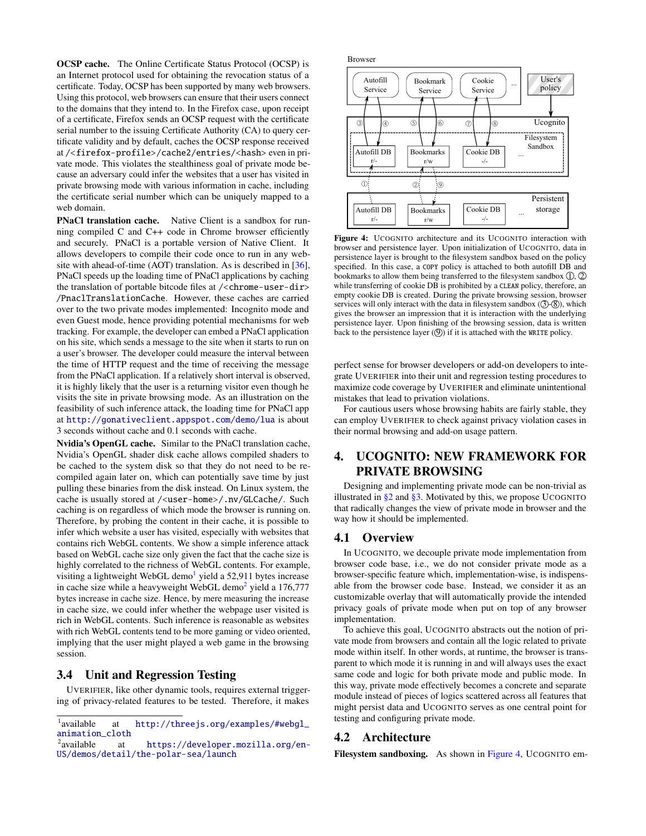OCSP cache. The Online Certificate Status Protocol (OCSP) is an Internet protocol used for obtaining the revocation status of a certificate. Today, OCSP has been supported by many web browsers. Using this protocol, web browsers can ensure that their users connect to the domains that they intend to. In the Firefox case, upon receipt of a certificate, Firefox sends an OCSP request with the certificate serial number to the issuing Certificate Authority (CA) to query certificate validity and by default, caches the OCSP response received at /<firefox-profile>/cache2/entries/<hash> even in private mode. This violates the stealthiness goal of private mode because an adversary could infer the websites that a user has visited in private browsing mode with various information in cache, including the certificate serial number which can be uniquely mapped to a web domain.

PNaCl translation cache. Native Client is a sandbox for running compiled C and C++ code in Chrome browser efficiently and securely. PNaCl is a portable version of Native Client. It allows developers to compile their code once to run in any website with ahead-of-time (AOT) translation. As is described in [\[36\]](#page-11-10), PNaCl speeds up the loading time of PNaCl applications by caching the translation of portable bitcode files at /<chrome-user-dir> /PnaclTranslationCache. However, these caches are carried over to the two private modes implemented: Incognito mode and even Guest mode, hence providing potential mechanisms for web tracking. For example, the developer can embed a PNaCl application on his site, which sends a message to the site when it starts to run on a user's browser. The developer could measure the interval between the time of HTTP request and the time of receiving the message from the PNaCl application. If a relatively short interval is observed, it is highly likely that the user is a returning visitor even though he visits the site in private browsing mode. As an illustration on the feasibility of such inference attack, the loading time for PNaCl app at <http://gonativeclient.appspot.com/demo/lua> is about 3 seconds without cache and 0.1 seconds with cache.

Nvidia's OpenGL cache. Similar to the PNaCl translation cache, Nvidia's OpenGL shader disk cache allows compiled shaders to be cached to the system disk so that they do not need to be recompiled again later on, which can potentially save time by just pulling these binaries from the disk instead. On Linux system, the cache is usually stored at /<user-home>/.nv/GLCache/. Such caching is on regardless of which mode the browser is running on. Therefore, by probing the content in their cache, it is possible to infer which website a user has visited, especially with websites that contains rich WebGL contents. We show a simple inference attack based on WebGL cache size only given the fact that the cache size is highly correlated to the richness of WebGL contents. For example, visiting a lightweight WebGL demo<sup>[1](#page-4-1)</sup> yield a 52,911 bytes increase in cache size while a heavyweight WebGL demo<sup>[2](#page-4-2)</sup> yield a 176,777 bytes increase in cache size. Hence, by mere measuring the increase in cache size, we could infer whether the webpage user visited is rich in WebGL contents. Such inference is reasonable as websites with rich WebGL contents tend to be more gaming or video oriented, implying that the user might played a web game in the browsing session.

### 3.4 Unit and Regression Testing

UVERIFIER, like other dynamic tools, requires external triggering of privacy-related features to be tested. Therefore, it makes

<span id="page-4-3"></span>

Figure 4: UCOGNITO architecture and its UCOGNITO interaction with browser and persistence layer. Upon initialization of UCOGNITO, data in persistence layer is brought to the filesystem sandbox based on the policy specified. In this case, a COPY policy is attached to both autofill DB and bookmarks to allow them being transferred to the filesystem sandbox  $(1, 2)$ while transferring of cookie DB is prohibited by a CLEAN policy, therefore, an empty cookie DB is created. During the private browsing session, browser services will only interact with the data in filesystem sandbox  $(3-8)$ , which gives the browser an impression that it is interaction with the underlying persistence layer. Upon finishing of the browsing session, data is written back to the persistence layer  $(\circled{9})$  if it is attached with the WRITE policy.

perfect sense for browser developers or add-on developers to integrate UVERIFIER into their unit and regression testing procedures to maximize code coverage by UVERIFIER and eliminate unintentional mistakes that lead to privation violations.

For cautious users whose browsing habits are fairly stable, they can employ UVERIFIER to check against privacy violation cases in their normal browsing and add-on usage pattern.

# <span id="page-4-0"></span>4. UCOGNITO: NEW FRAMEWORK FOR PRIVATE BROWSING

Designing and implementing private mode can be non-trivial as illustrated in  $\S$ 2 and  $\S$ 3. Motivated by this, we propose UCOGNITO that radically changes the view of private mode in browser and the way how it should be implemented.

### 4.1 Overview

In UCOGNITO, we decouple private mode implementation from browser code base, i.e., we do not consider private mode as a browser-specific feature which, implementation-wise, is indispensable from the browser code base. Instead, we consider it as an customizable overlay that will automatically provide the intended privacy goals of private mode when put on top of any browser implementation.

To achieve this goal, UCOGNITO abstracts out the notion of private mode from browsers and contain all the logic related to private mode within itself. In other words, at runtime, the browser is transparent to which mode it is running in and will always uses the exact same code and logic for both private mode and public mode. In this way, private mode effectively becomes a concrete and separate module instead of pieces of logics scattered across all features that might persist data and UCOGNITO serves as one central point for testing and configuring private mode.

### 4.2 Architecture

Filesystem sandboxing. As shown in [Figure 4,](#page-4-3) UCOGNITO em-

<span id="page-4-1"></span> $1$ available at [http://threejs.org/examples/#webgl\\_](http://threejs.org/examples/#webgl_animation_cloth) [animation\\_cloth](http://threejs.org/examples/#webgl_animation_cloth)

<span id="page-4-2"></span><sup>&</sup>lt;sup>2</sup> available at [https://developer.mozilla.org/en-](https://developer.mozilla.org/en-US/demos/detail/the-polar-sea/launch)[US/demos/detail/the-polar-sea/launch](https://developer.mozilla.org/en-US/demos/detail/the-polar-sea/launch)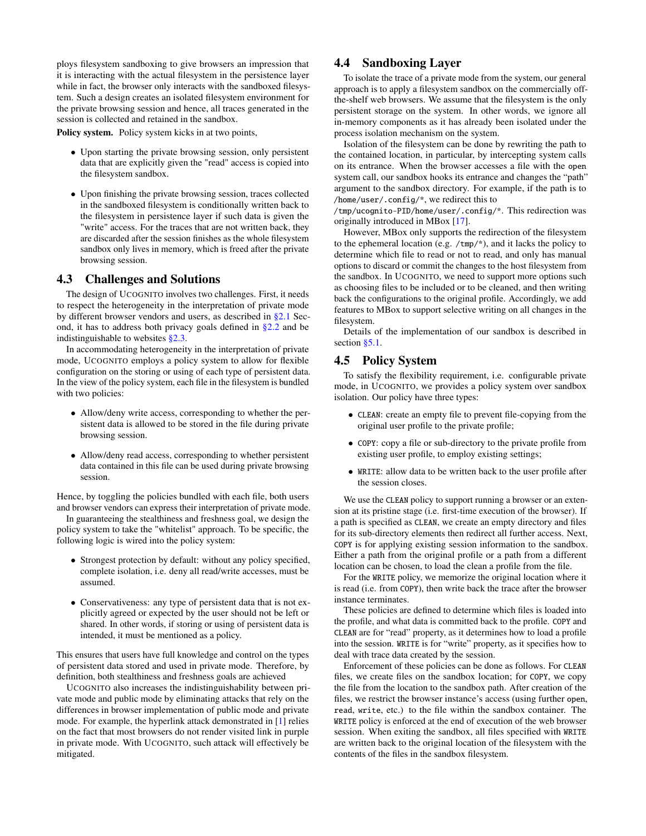ploys filesystem sandboxing to give browsers an impression that it is interacting with the actual filesystem in the persistence layer while in fact, the browser only interacts with the sandboxed filesystem. Such a design creates an isolated filesystem environment for the private browsing session and hence, all traces generated in the session is collected and retained in the sandbox.

Policy system. Policy system kicks in at two points,

- Upon starting the private browsing session, only persistent data that are explicitly given the "read" access is copied into the filesystem sandbox.
- Upon finishing the private browsing session, traces collected in the sandboxed filesystem is conditionally written back to the filesystem in persistence layer if such data is given the "write" access. For the traces that are not written back, they are discarded after the session finishes as the whole filesystem sandbox only lives in memory, which is freed after the private browsing session.

# 4.3 Challenges and Solutions

The design of UCOGNITO involves two challenges. First, it needs to respect the heterogeneity in the interpretation of private mode by different browser vendors and users, as described in [§2.1](#page-1-3) Second, it has to address both privacy goals defined in [§2.2](#page-1-2) and be indistinguishable to websites [§2.3.](#page-1-1)

In accommodating heterogeneity in the interpretation of private mode, UCOGNITO employs a policy system to allow for flexible configuration on the storing or using of each type of persistent data. In the view of the policy system, each file in the filesystem is bundled with two policies:

- Allow/deny write access, corresponding to whether the persistent data is allowed to be stored in the file during private browsing session.
- Allow/deny read access, corresponding to whether persistent data contained in this file can be used during private browsing session.

Hence, by toggling the policies bundled with each file, both users and browser vendors can express their interpretation of private mode.

In guaranteeing the stealthiness and freshness goal, we design the policy system to take the "whitelist" approach. To be specific, the following logic is wired into the policy system:

- Strongest protection by default: without any policy specified, complete isolation, i.e. deny all read/write accesses, must be assumed.
- Conservativeness: any type of persistent data that is not explicitly agreed or expected by the user should not be left or shared. In other words, if storing or using of persistent data is intended, it must be mentioned as a policy.

This ensures that users have full knowledge and control on the types of persistent data stored and used in private mode. Therefore, by definition, both stealthiness and freshness goals are achieved

UCOGNITO also increases the indistinguishability between private mode and public mode by eliminating attacks that rely on the differences in browser implementation of public mode and private mode. For example, the hyperlink attack demonstrated in [\[1\]](#page-10-0) relies on the fact that most browsers do not render visited link in purple in private mode. With UCOGNITO, such attack will effectively be mitigated.

# 4.4 Sandboxing Layer

To isolate the trace of a private mode from the system, our general approach is to apply a filesystem sandbox on the commercially offthe-shelf web browsers. We assume that the filesystem is the only persistent storage on the system. In other words, we ignore all in-memory components as it has already been isolated under the process isolation mechanism on the system.

Isolation of the filesystem can be done by rewriting the path to the contained location, in particular, by intercepting system calls on its entrance. When the browser accesses a file with the open system call, our sandbox hooks its entrance and changes the "path" argument to the sandbox directory. For example, if the path is to /home/user/.config/\*, we redirect this to

/tmp/ucognito-PID/home/user/.config/\*. This redirection was originally introduced in MBox [\[17\]](#page-11-11).

However, MBox only supports the redirection of the filesystem to the ephemeral location (e.g. /tmp/\*), and it lacks the policy to determine which file to read or not to read, and only has manual options to discard or commit the changes to the host filesystem from the sandbox. In UCOGNITO, we need to support more options such as choosing files to be included or to be cleaned, and then writing back the configurations to the original profile. Accordingly, we add features to MBox to support selective writing on all changes in the filesystem.

Details of the implementation of our sandbox is described in section [§5.1.](#page-6-1)

### <span id="page-5-0"></span>4.5 Policy System

To satisfy the flexibility requirement, i.e. configurable private mode, in UCOGNITO, we provides a policy system over sandbox isolation. Our policy have three types:

- CLEAN: create an empty file to prevent file-copying from the original user profile to the private profile;
- COPY: copy a file or sub-directory to the private profile from existing user profile, to employ existing settings;
- WRITE: allow data to be written back to the user profile after the session closes.

We use the CLEAN policy to support running a browser or an extension at its pristine stage (i.e. first-time execution of the browser). If a path is specified as CLEAN, we create an empty directory and files for its sub-directory elements then redirect all further access. Next, COPY is for applying existing session information to the sandbox. Either a path from the original profile or a path from a different location can be chosen, to load the clean a profile from the file.

For the WRITE policy, we memorize the original location where it is read (i.e. from COPY), then write back the trace after the browser instance terminates.

These policies are defined to determine which files is loaded into the profile, and what data is committed back to the profile. COPY and CLEAN are for "read" property, as it determines how to load a profile into the session. WRITE is for "write" property, as it specifies how to deal with trace data created by the session.

Enforcement of these policies can be done as follows. For CLEAN files, we create files on the sandbox location; for COPY, we copy the file from the location to the sandbox path. After creation of the files, we restrict the browser instance's access (using further open, read, write, etc.) to the file within the sandbox container. The WRITE policy is enforced at the end of execution of the web browser session. When exiting the sandbox, all files specified with WRITE are written back to the original location of the filesystem with the contents of the files in the sandbox filesystem.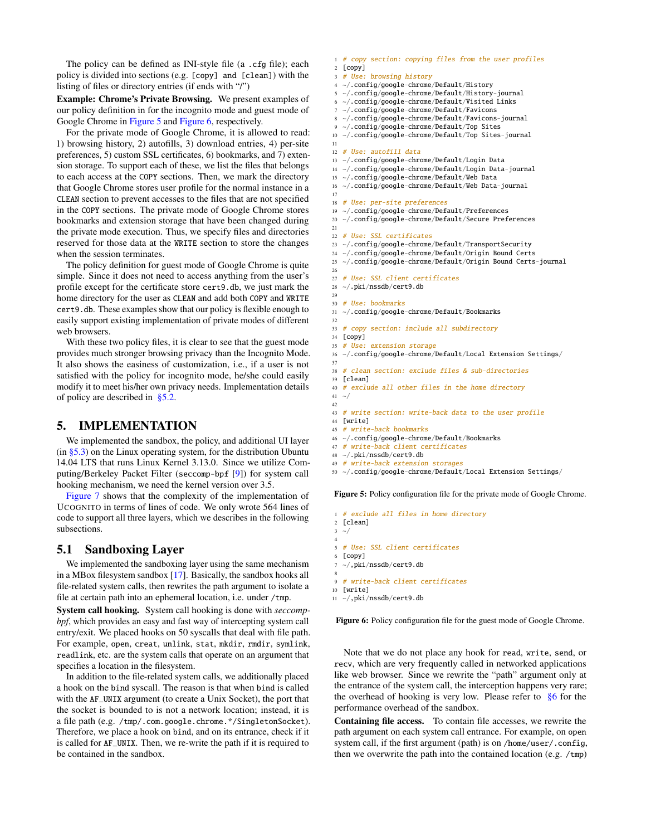The policy can be defined as INI-style file (a .cfg file); each policy is divided into sections (e.g. [copy] and [clean]) with the listing of files or directory entries (if ends with "/")

Example: Chrome's Private Browsing. We present examples of our policy definition in for the incognito mode and guest mode of Google Chrome in [Figure 5](#page-6-2) and [Figure 6,](#page-6-3) respectively.

For the private mode of Google Chrome, it is allowed to read: 1) browsing history, 2) autofills, 3) download entries, 4) per-site preferences, 5) custom SSL certificates, 6) bookmarks, and 7) extension storage. To support each of these, we list the files that belongs to each access at the COPY sections. Then, we mark the directory that Google Chrome stores user profile for the normal instance in a CLEAN section to prevent accesses to the files that are not specified in the COPY sections. The private mode of Google Chrome stores bookmarks and extension storage that have been changed during the private mode execution. Thus, we specify files and directories reserved for those data at the WRITE section to store the changes when the session terminates.

The policy definition for guest mode of Google Chrome is quite simple. Since it does not need to access anything from the user's profile except for the certificate store cert9.db, we just mark the home directory for the user as CLEAN and add both COPY and WRITE cert9.db. These examples show that our policy is flexible enough to easily support existing implementation of private modes of different web browsers.

With these two policy files, it is clear to see that the guest mode provides much stronger browsing privacy than the Incognito Mode. It also shows the easiness of customization, i.e., if a user is not satisfied with the policy for incognito mode, he/she could easily modify it to meet his/her own privacy needs. Implementation details of policy are described in [§5.2.](#page-7-1)

### <span id="page-6-0"></span>5. IMPLEMENTATION

We implemented the sandbox, the policy, and additional UI layer  $(in §5.3)$  $(in §5.3)$  on the Linux operating system, for the distribution Ubuntu 14.04 LTS that runs Linux Kernel 3.13.0. Since we utilize Computing/Berkeley Packet Filter (seccomp-bpf [\[9\]](#page-11-12)) for system call hooking mechanism, we need the kernel version over 3.5.

[Figure 7](#page-7-3) shows that the complexity of the implementation of UCOGNITO in terms of lines of code. We only wrote 564 lines of code to support all three layers, which we describes in the following subsections.

### <span id="page-6-1"></span>5.1 Sandboxing Layer

We implemented the sandboxing layer using the same mechanism in a MBox filesystem sandbox [\[17\]](#page-11-11). Basically, the sandbox hooks all file-related system calls, then rewrites the path argument to isolate a file at certain path into an ephemeral location, i.e. under /tmp.

System call hooking. System call hooking is done with *seccompbpf*, which provides an easy and fast way of intercepting system call entry/exit. We placed hooks on 50 syscalls that deal with file path. For example, open, creat, unlink, stat, mkdir, rmdir, symlink, readlink, etc. are the system calls that operate on an argument that specifies a location in the filesystem.

In addition to the file-related system calls, we additionally placed a hook on the bind syscall. The reason is that when bind is called with the AF\_UNIX argument (to create a Unix Socket), the port that the socket is bounded to is not a network location; instead, it is a file path (e.g. /tmp/.com.google.chrome.\*/SingletonSocket). Therefore, we place a hook on bind, and on its entrance, check if it is called for AF\_UNIX. Then, we re-write the path if it is required to be contained in the sandbox.

- <span id="page-6-2"></span>1 # copy section: copying files from the user profiles 2 [copy]
- 3 # Use: browsing history
- 4 ~/.config/google-chrome/Default/History
- 5 ~/.config/google-chrome/Default/History-journal
- 6 ~/.config/google-chrome/Default/Visited Links
- 7 ~/.config/google-chrome/Default/Favicons
- 8 ~/.config/google-chrome/Default/Favicons-journal
- 9 ~/.config/google-chrome/Default/Top Sites
- 10 ~/.config/google-chrome/Default/Top Sites-journal 11
- 12 # Use: autofill data

17

- 13 ~/.config/google-chrome/Default/Login Data
- 14 ~/.config/google-chrome/Default/Login Data-journal
- 15 ~/.config/google-chrome/Default/Web Data
- 16 ~/.config/google-chrome/Default/Web Data-journal
- 18 # Use: per-site preferences
- 19 ~/.config/google-chrome/Default/Preferences
- 20 ~/.config/google-chrome/Default/Secure Preferences
- 21 22 # Use: SSL certificates
- 23 ~/.config/google-chrome/Default/TransportSecurity
- 24 ~/.config/google-chrome/Default/Origin Bound Certs
- 25 ~/.config/google-chrome/Default/Origin Bound Certs-journal
- 26
- 27 # Use: SSL client certificates 28 ~/.pki/nssdb/cert9.db
- 29
- 30 # Use: bookmarks
- 31 ~/.config/google-chrome/Default/Bookmarks
- 32 33 # copy section: include all subdirectory
- 34 [copy]
- 35 # Use: extension storage
- 36 ~/.config/google-chrome/Default/Local Extension Settings/
- 37 38 # clean section: exclude files & sub-directories
- 39 [clean]
- 40 # exclude all other files in the home directory 41  $\sim$  /
- 43 # write section: write-back data to the user profile
- 44 [write]

42

- 45 # write-back bookmarks
- 46 ~/.config/google-chrome/Default/Bookmarks
- 47 # write-back client certificates
- 48 ~/.pki/nssdb/cert9.db 49 # write-back extension storages
- 
- 50 ~/.config/google-chrome/Default/Local Extension Settings/

Figure 5: Policy configuration file for the private mode of Google Chrome.

<span id="page-6-3"></span>1 # exclude all files in home directory 2 [clean]  $3 - \sim$ 4 5 # Use: SSL client certificates 6 [copy]  $\sim$ /,pki/nssdb/cert9.db 8 9 # write-back client certificates 10 [write] 11 ~/,pki/nssdb/cert9.db

Figure 6: Policy configuration file for the guest mode of Google Chrome.

Note that we do not place any hook for read, write, send, or recv, which are very frequently called in networked applications like web browser. Since we rewrite the "path" argument only at the entrance of the system call, the interception happens very rare; the overhead of hooking is very low. Please refer to [§6](#page-7-0) for the performance overhead of the sandbox.

Containing file access. To contain file accesses, we rewrite the path argument on each system call entrance. For example, on open system call, if the first argument (path) is on /home/user/.config, then we overwrite the path into the contained location (e.g. /tmp)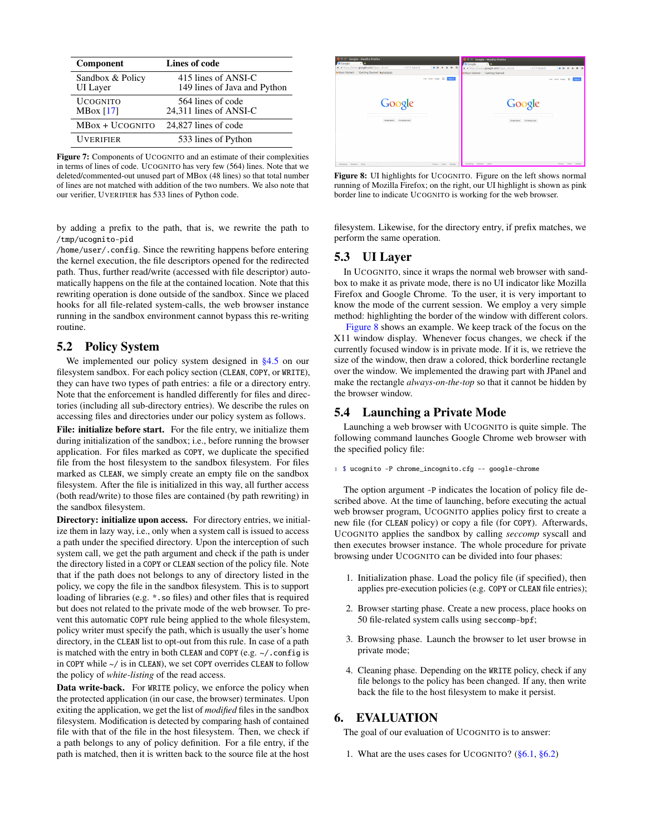<span id="page-7-3"></span>

| Component                    | Lines of code                                       |
|------------------------------|-----------------------------------------------------|
| Sandbox & Policy<br>UI Layer | 415 lines of ANSI-C<br>149 lines of Java and Python |
| <b>UCOGNITO</b><br>MBox [17] | 564 lines of code<br>24,311 lines of ANSI-C         |
| MBox + UCOGNITO              | 24,827 lines of code                                |
| <b>UVERIFIER</b>             | 533 lines of Python                                 |

Figure 7: Components of UCOGNITO and an estimate of their complexities in terms of lines of code. UCOGNITO has very few (564) lines. Note that we deleted/commented-out unused part of MBox (48 lines) so that total number of lines are not matched with addition of the two numbers. We also note that our verifier, UVERIFIER has 533 lines of Python code.

by adding a prefix to the path, that is, we rewrite the path to /tmp/ucognito-pid

/home/user/.config. Since the rewriting happens before entering the kernel execution, the file descriptors opened for the redirected path. Thus, further read/write (accessed with file descriptor) automatically happens on the file at the contained location. Note that this rewriting operation is done outside of the sandbox. Since we placed hooks for all file-related system-calls, the web browser instance running in the sandbox environment cannot bypass this re-writing routine.

# <span id="page-7-1"></span>5.2 Policy System

We implemented our policy system designed in [§4.5](#page-5-0) on our filesystem sandbox. For each policy section (CLEAN, COPY, or WRITE), they can have two types of path entries: a file or a directory entry. Note that the enforcement is handled differently for files and directories (including all sub-directory entries). We describe the rules on accessing files and directories under our policy system as follows.

File: initialize before start. For the file entry, we initialize them during initialization of the sandbox; i.e., before running the browser application. For files marked as COPY, we duplicate the specified file from the host filesystem to the sandbox filesystem. For files marked as CLEAN, we simply create an empty file on the sandbox filesystem. After the file is initialized in this way, all further access (both read/write) to those files are contained (by path rewriting) in the sandbox filesystem.

Directory: initialize upon access. For directory entries, we initialize them in lazy way, i.e., only when a system call is issued to access a path under the specified directory. Upon the interception of such system call, we get the path argument and check if the path is under the directory listed in a COPY or CLEAN section of the policy file. Note that if the path does not belongs to any of directory listed in the policy, we copy the file in the sandbox filesystem. This is to support loading of libraries (e.g. \*.so files) and other files that is required but does not related to the private mode of the web browser. To prevent this automatic COPY rule being applied to the whole filesystem, policy writer must specify the path, which is usually the user's home directory, in the CLEAN list to opt-out from this rule. In case of a path is matched with the entry in both CLEAN and COPY (e.g.  $\sim$ /.config is in COPY while  $\sim$ / is in CLEAN), we set COPY overrides CLEAN to follow the policy of *white-listing* of the read access.

Data write-back. For WRITE policy, we enforce the policy when the protected application (in our case, the browser) terminates. Upon exiting the application, we get the list of *modified* files in the sandbox filesystem. Modification is detected by comparing hash of contained file with that of the file in the host filesystem. Then, we check if a path belongs to any of policy definition. For a file entry, if the path is matched, then it is written back to the source file at the host

<span id="page-7-4"></span>

Figure 8: UI highlights for UCOGNITO. Figure on the left shows normal running of Mozilla Firefox; on the right, our UI highlight is shown as pink border line to indicate UCOGNITO is working for the web browser.

filesystem. Likewise, for the directory entry, if prefix matches, we perform the same operation.

# <span id="page-7-2"></span>5.3 UI Layer

In UCOGNITO, since it wraps the normal web browser with sandbox to make it as private mode, there is no UI indicator like Mozilla Firefox and Google Chrome. To the user, it is very important to know the mode of the current session. We employ a very simple method: highlighting the border of the window with different colors.

[Figure 8](#page-7-4) shows an example. We keep track of the focus on the X11 window display. Whenever focus changes, we check if the currently focused window is in private mode. If it is, we retrieve the size of the window, then draw a colored, thick borderline rectangle over the window. We implemented the drawing part with JPanel and make the rectangle *always-on-the-top* so that it cannot be hidden by the browser window.

# <span id="page-7-5"></span>5.4 Launching a Private Mode

Launching a web browser with UCOGNITO is quite simple. The following command launches Google Chrome web browser with the specified policy file:

1 \$ ucognito -P chrome\_incognito.cfg -- google-chrome

The option argument -P indicates the location of policy file described above. At the time of launching, before executing the actual web browser program, UCOGNITO applies policy first to create a new file (for CLEAN policy) or copy a file (for COPY). Afterwards, UCOGNITO applies the sandbox by calling *seccomp* syscall and then executes browser instance. The whole procedure for private browsing under UCOGNITO can be divided into four phases:

- 1. Initialization phase. Load the policy file (if specified), then applies pre-execution policies (e.g. COPY or CLEAN file entries);
- 2. Browser starting phase. Create a new process, place hooks on 50 file-related system calls using seccomp-bpf;
- 3. Browsing phase. Launch the browser to let user browse in private mode;
- 4. Cleaning phase. Depending on the WRITE policy, check if any file belongs to the policy has been changed. If any, then write back the file to the host filesystem to make it persist.

# <span id="page-7-0"></span>6. EVALUATION

The goal of our evaluation of UCOGNITO is to answer:

1. What are the uses cases for UCOGNITO?  $(\S6.1, \S6.2)$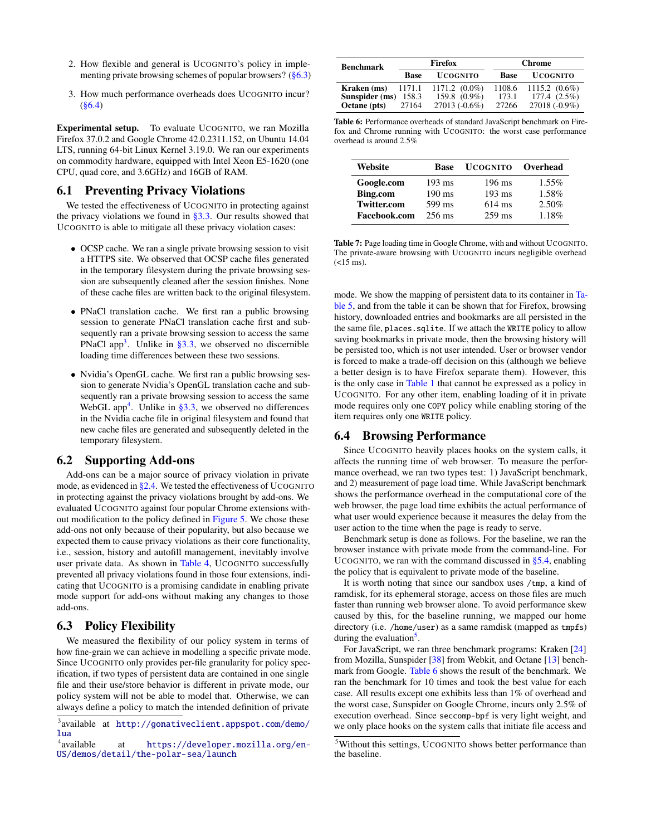- 2. How flexible and general is UCOGNITO's policy in implementing private browsing schemes of popular browsers? [\(§6.3\)](#page-8-2)
- 3. How much performance overheads does UCOGNITO incur? [\(§6.4\)](#page-8-3)

Experimental setup. To evaluate UCOGNITO, we ran Mozilla Firefox 37.0.2 and Google Chrome 42.0.2311.152, on Ubuntu 14.04 LTS, running 64-bit Linux Kernel 3.19.0. We ran our experiments on commodity hardware, equipped with Intel Xeon E5-1620 (one CPU, quad core, and 3.6GHz) and 16GB of RAM.

# <span id="page-8-1"></span>6.1 Preventing Privacy Violations

We tested the effectiveness of UCOGNITO in protecting against the privacy violations we found in  $\S 3.3$ . Our results showed that UCOGNITO is able to mitigate all these privacy violation cases:

- OCSP cache. We ran a single private browsing session to visit a HTTPS site. We observed that OCSP cache files generated in the temporary filesystem during the private browsing session are subsequently cleaned after the session finishes. None of these cache files are written back to the original filesystem.
- PNaCl translation cache. We first ran a public browsing session to generate PNaCl translation cache first and subsequently ran a private browsing session to access the same PNaCl app<sup>[3](#page-8-4)</sup>. Unlike in [§3.3,](#page-3-4) we observed no discernible loading time differences between these two sessions.
- Nvidia's OpenGL cache. We first ran a public browsing session to generate Nvidia's OpenGL translation cache and subsequently ran a private browsing session to access the same WebGL app<sup>[4](#page-8-5)</sup>. Unlike in [§3.3,](#page-3-4) we observed no differences in the Nvidia cache file in original filesystem and found that new cache files are generated and subsequently deleted in the temporary filesystem.

### <span id="page-8-0"></span>6.2 Supporting Add-ons

Add-ons can be a major source of privacy violation in private mode, as evidenced in  $\S2.4$ . We tested the effectiveness of UCOGNITO in protecting against the privacy violations brought by add-ons. We evaluated UCOGNITO against four popular Chrome extensions without modification to the policy defined in [Figure 5.](#page-6-2) We chose these add-ons not only because of their popularity, but also because we expected them to cause privacy violations as their core functionality, i.e., session, history and autofill management, inevitably involve user private data. As shown in [Table 4,](#page-9-1) UCOGNITO successfully prevented all privacy violations found in those four extensions, indicating that UCOGNITO is a promising candidate in enabling private mode support for add-ons without making any changes to those add-ons.

### <span id="page-8-2"></span>6.3 Policy Flexibility

We measured the flexibility of our policy system in terms of how fine-grain we can achieve in modelling a specific private mode. Since UCOGNITO only provides per-file granularity for policy specification, if two types of persistent data are contained in one single file and their use/store behavior is different in private mode, our policy system will not be able to model that. Otherwise, we can always define a policy to match the intended definition of private

<span id="page-8-7"></span>

| <b>Benchmark</b> |             | <b>Firefox</b>  | <b>Chrome</b> |                  |  |
|------------------|-------------|-----------------|---------------|------------------|--|
|                  | <b>Base</b> | <b>UCOGNITO</b> | <b>Base</b>   | <b>UCOGNITO</b>  |  |
| Kraken (ms)      | 1171.1      | 1171.2 (0.0%)   | 1108.6        | $1115.2 (0.6\%)$ |  |
| Sunspider (ms)   | 158.3       | 159.8 (0.9%)    | 173.1         | $177.4(2.5\%)$   |  |
| Octane (pts)     | 27164       | $27013(-0.6\%)$ | 27266         | 27018 (-0.9%)    |  |

Table 6: Performance overheads of standard JavaScript benchmark on Firefox and Chrome running with UCOGNITO: the worst case performance overhead is around 2.5%

<span id="page-8-8"></span>

| Website            | <b>Base</b>      | <b>UCOGNITO</b>  | Overhead |
|--------------------|------------------|------------------|----------|
| Google.com         | $193 \text{ ms}$ | 196 ms           | $1.55\%$ |
| <b>Bing.com</b>    | $190 \text{ ms}$ | $193 \text{ ms}$ | 1.58%    |
| <b>Twitter.com</b> | 599 ms           | $614$ ms         | 2.50%    |
| Facebook.com       | $256$ ms         | $259$ ms         | 1.18%    |

Table 7: Page loading time in Google Chrome, with and without UCOGNITO. The private-aware browsing with UCOGNITO incurs negligible overhead  $(<15$  ms).

mode. We show the mapping of persistent data to its container in [Ta](#page-9-2)[ble 5,](#page-9-2) and from the table it can be shown that for Firefox, browsing history, downloaded entries and bookmarks are all persisted in the the same file, places.sqlite. If we attach the WRITE policy to allow saving bookmarks in private mode, then the browsing history will be persisted too, which is not user intended. User or browser vendor is forced to make a trade-off decision on this (although we believe a better design is to have Firefox separate them). However, this is the only case in [Table 1](#page-2-0) that cannot be expressed as a policy in UCOGNITO. For any other item, enabling loading of it in private mode requires only one COPY policy while enabling storing of the item requires only one WRITE policy.

### <span id="page-8-3"></span>6.4 Browsing Performance

Since UCOGNITO heavily places hooks on the system calls, it affects the running time of web browser. To measure the performance overhead, we ran two types test: 1) JavaScript benchmark, and 2) measurement of page load time. While JavaScript benchmark shows the performance overhead in the computational core of the web browser, the page load time exhibits the actual performance of what user would experience because it measures the delay from the user action to the time when the page is ready to serve.

Benchmark setup is done as follows. For the baseline, we ran the browser instance with private mode from the command-line. For UCOGNITO, we ran with the command discussed in [§5.4,](#page-7-5) enabling the policy that is equivalent to private mode of the baseline.

It is worth noting that since our sandbox uses /tmp, a kind of ramdisk, for its ephemeral storage, access on those files are much faster than running web browser alone. To avoid performance skew caused by this, for the baseline running, we mapped our home directory (i.e. /home/user) as a same ramdisk (mapped as tmpfs) during the evaluation<sup>[5](#page-8-6)</sup>.

For JavaScript, we ran three benchmark programs: Kraken [\[24\]](#page-11-13) from Mozilla, Sunspider [\[38\]](#page-11-14) from Webkit, and Octane [\[13\]](#page-11-15) bench-mark from Google. [Table 6](#page-8-7) shows the result of the benchmark. We ran the benchmark for 10 times and took the best value for each case. All results except one exhibits less than 1% of overhead and the worst case, Sunspider on Google Chrome, incurs only 2.5% of execution overhead. Since seccomp-bpf is very light weight, and we only place hooks on the system calls that initiate file access and

<span id="page-8-4"></span> $^3$ available at [http://gonativeclient.appspot.com/demo/](http://gonativeclient.appspot.com/demo/lua) [lua](http://gonativeclient.appspot.com/demo/lua)

<span id="page-8-5"></span><sup>&</sup>lt;sup>4</sup>available at [https://developer.mozilla.org/en-](https://developer.mozilla.org/en-US/demos/detail/the-polar-sea/launch)[US/demos/detail/the-polar-sea/launch](https://developer.mozilla.org/en-US/demos/detail/the-polar-sea/launch)

<span id="page-8-6"></span><sup>&</sup>lt;sup>5</sup>Without this settings, UCOGNITO shows better performance than the baseline.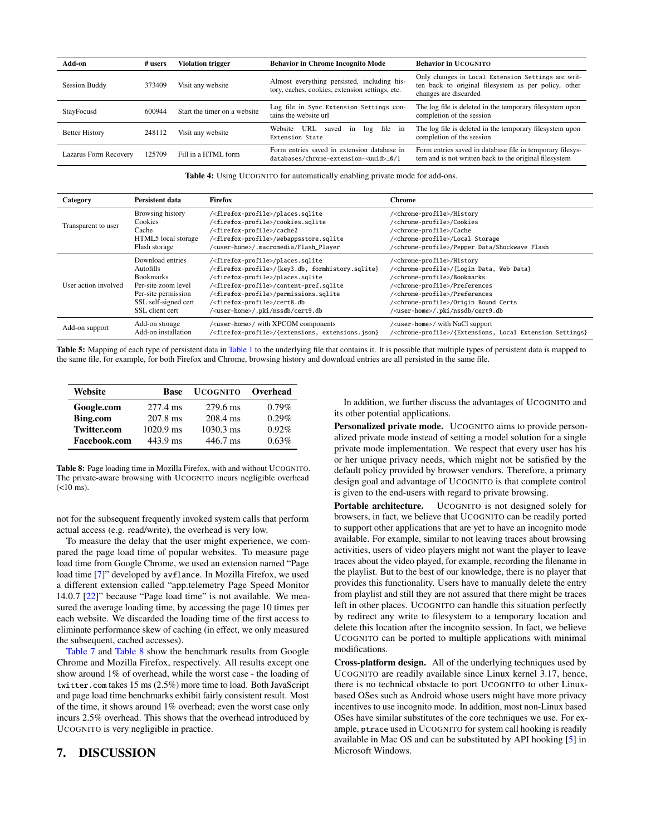<span id="page-9-1"></span>

| Add-on                | # users | <b>Violation trigger</b>     | <b>Behavior in Chrome Incognito Mode</b>                                                       | <b>Behavior in UCOGNITO</b>                                                                                                         |
|-----------------------|---------|------------------------------|------------------------------------------------------------------------------------------------|-------------------------------------------------------------------------------------------------------------------------------------|
| <b>Session Buddy</b>  | 373409  | Visit any website            | Almost everything persisted, including his-<br>tory, caches, cookies, extension settings, etc. | Only changes in Local Extension Settings are writ-<br>ten back to original filesystem as per policy, other<br>changes are discarded |
| StayFocusd            | 600944  | Start the timer on a website | Log file in Sync Extension Settings con-<br>tains the website url                              | The log file is deleted in the temporary filesystem upon<br>completion of the session                                               |
| <b>Better History</b> | 248112  | Visit any website            | URL<br>Website<br>file<br>saved<br>$\log$<br>1n<br>1n<br>Extension State                       | The log file is deleted in the temporary filesystem upon<br>completion of the session                                               |
| Lazarus Form Recovery | 125709  | Fill in a HTML form          | Form entries saved in extension database in<br>databases/chrome-extension- <uuid>_0/1</uuid>   | Form entries saved in database file in temporary filesys-<br>tem and is not written back to the original filesystem                 |

Table 4: Using UCOGNITO for automatically enabling private mode for add-ons.

<span id="page-9-2"></span>

| Category             | Persistent data      | Firefox                                                             | Chrome                                                                     |
|----------------------|----------------------|---------------------------------------------------------------------|----------------------------------------------------------------------------|
| Transparent to user  | Browsing history     | / <firefox-profile>/places.sqlite</firefox-profile>                 | / <chrome-profile>/History</chrome-profile>                                |
|                      | <b>Cookies</b>       | / <firefox-profile>/cookies.sqlite</firefox-profile>                | / <chrome-profile>/Cookies</chrome-profile>                                |
|                      | Cache                | / <firefox-profile>/cache2</firefox-profile>                        | / <chrome-profile>/Cache</chrome-profile>                                  |
|                      | HTML5 local storage  | / <firefox-profile>/webappsstore.sqlite</firefox-profile>           | / <chrome-profile>/Local Storage</chrome-profile>                          |
|                      | Flash storage        | / <user-home>/.macromedia/Flash_Player</user-home>                  | / <chrome-profile>/Pepper Data/Shockwave Flash</chrome-profile>            |
| User action involved | Download entries     | / <firefox-profile>/places.sqlite</firefox-profile>                 | / <chrome-profile>/History</chrome-profile>                                |
|                      | <b>Autofills</b>     | / <firefox-profile>/{key3.db, formhistory.sqlite}</firefox-profile> | / <chrome-profile>/{Login Data, Web Data}</chrome-profile>                 |
|                      | <b>Bookmarks</b>     | / <firefox-profile>/places.sqlite</firefox-profile>                 | / <chrome-profile>/Bookmarks</chrome-profile>                              |
|                      | Per-site zoom level  | / <firefox-profile>/content-pref.sqlite</firefox-profile>           | / <chrome-profile>/Preferences</chrome-profile>                            |
|                      | Per-site permission  | / <firefox-profile>/permissions.sqlite</firefox-profile>            | / <chrome-profile>/Preferences</chrome-profile>                            |
|                      | SSL self-signed cert | / <firefox-profile>/cert8.db</firefox-profile>                      | / <chrome-profile>/Origin Bound Certs</chrome-profile>                     |
|                      | SSL client cert      | / <user-home>/.pki/nssdb/cert9.db</user-home>                       | / <user-home>/.pki/nssdb/cert9.db</user-home>                              |
| Add-on support       | Add-on storage       | / <user-home>/ with XPCOM components</user-home>                    | / <user-home>/ with NaCl support</user-home>                               |
|                      | Add-on installation  | / <firefox-profile>/{extensions, extensions.json}</firefox-profile> | / <chrome-profile>/{Extensions, Local Extension Settings}</chrome-profile> |

Table 5: Mapping of each type of persistent data in [Table 1](#page-2-0) to the underlying file that contains it. It is possible that multiple types of persistent data is mapped to the same file, for example, for both Firefox and Chrome, browsing history and download entries are all persisted in the same file.

<span id="page-9-3"></span>

| Website            | <b>Base</b> | <b>UCOGNITO</b>    | Overhead |
|--------------------|-------------|--------------------|----------|
| Google.com         | 277.4 ms    | 279.6 ms           | 0.79%    |
| <b>Bing.com</b>    | 207.8 ms    | $208.4 \text{ ms}$ | 0.29%    |
| <b>Twitter.com</b> | $1020.9$ ms | $1030.3$ ms        | 0.92%    |
| Facebook.com       | 443.9 ms    | 446.7 ms           | 0.63%    |

Table 8: Page loading time in Mozilla Firefox, with and without UCOGNITO. The private-aware browsing with UCOGNITO incurs negligible overhead  $(<10$  ms).

not for the subsequent frequently invoked system calls that perform actual access (e.g. read/write), the overhead is very low.

To measure the delay that the user might experience, we compared the page load time of popular websites. To measure page load time from Google Chrome, we used an extension named "Page load time [\[7\]](#page-10-5)" developed by avflance. In Mozilla Firefox, we used a different extension called "app.telemetry Page Speed Monitor 14.0.7 [\[22\]](#page-11-16)" because "Page load time" is not available. We measured the average loading time, by accessing the page 10 times per each website. We discarded the loading time of the first access to eliminate performance skew of caching (in effect, we only measured the subsequent, cached accesses).

[Table 7](#page-8-8) and [Table 8](#page-9-3) show the benchmark results from Google Chrome and Mozilla Firefox, respectively. All results except one show around 1% of overhead, while the worst case - the loading of twitter.com takes 15 ms (2.5%) more time to load. Both JavaScript and page load time benchmarks exhibit fairly consistent result. Most of the time, it shows around 1% overhead; even the worst case only incurs 2.5% overhead. This shows that the overhead introduced by UCOGNITO is very negligible in practice.

# <span id="page-9-0"></span>7. DISCUSSION

In addition, we further discuss the advantages of UCOGNITO and its other potential applications.

Personalized private mode. UCOGNITO aims to provide personalized private mode instead of setting a model solution for a single private mode implementation. We respect that every user has his or her unique privacy needs, which might not be satisfied by the default policy provided by browser vendors. Therefore, a primary design goal and advantage of UCOGNITO is that complete control is given to the end-users with regard to private browsing.

Portable architecture. UCOGNITO is not designed solely for browsers, in fact, we believe that UCOGNITO can be readily ported to support other applications that are yet to have an incognito mode available. For example, similar to not leaving traces about browsing activities, users of video players might not want the player to leave traces about the video played, for example, recording the filename in the playlist. But to the best of our knowledge, there is no player that provides this functionality. Users have to manually delete the entry from playlist and still they are not assured that there might be traces left in other places. UCOGNITO can handle this situation perfectly by redirect any write to filesystem to a temporary location and delete this location after the incognito session. In fact, we believe UCOGNITO can be ported to multiple applications with minimal modifications.

Cross-platform design. All of the underlying techniques used by UCOGNITO are readily available since Linux kernel 3.17, hence, there is no technical obstacle to port UCOGNITO to other Linuxbased OSes such as Android whose users might have more privacy incentives to use incognito mode. In addition, most non-Linux based OSes have similar substitutes of the core techniques we use. For example, ptrace used in UCOGNITO for system call hooking is readily available in Mac OS and can be substituted by API hooking [\[5\]](#page-10-6) in Microsoft Windows.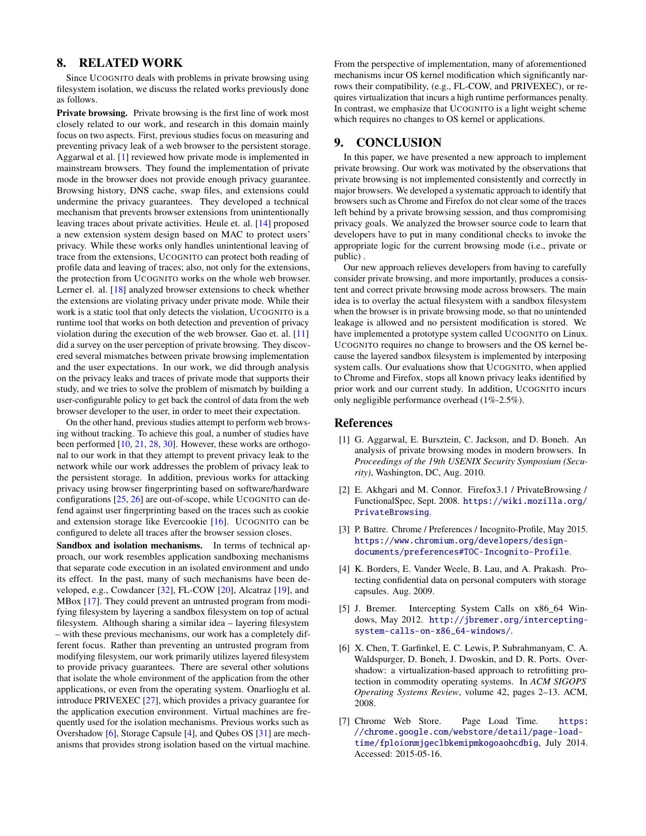# <span id="page-10-1"></span>8. RELATED WORK

Since UCOGNITO deals with problems in private browsing using filesystem isolation, we discuss the related works previously done as follows.

Private browsing. Private browsing is the first line of work most closely related to our work, and research in this domain mainly focus on two aspects. First, previous studies focus on measuring and preventing privacy leak of a web browser to the persistent storage. Aggarwal et al. [\[1\]](#page-10-0) reviewed how private mode is implemented in mainstream browsers. They found the implementation of private mode in the browser does not provide enough privacy guarantee. Browsing history, DNS cache, swap files, and extensions could undermine the privacy guarantees. They developed a technical mechanism that prevents browser extensions from unintentionally leaving traces about private activities. Heule et. al. [\[14\]](#page-11-17) proposed a new extension system design based on MAC to protect users' privacy. While these works only handles unintentional leaving of trace from the extensions, UCOGNITO can protect both reading of profile data and leaving of traces; also, not only for the extensions, the protection from UCOGNITO works on the whole web browser. Lerner el. al. [\[18\]](#page-11-18) analyzed browser extensions to check whether the extensions are violating privacy under private mode. While their work is a static tool that only detects the violation, UCOGNITO is a runtime tool that works on both detection and prevention of privacy violation during the execution of the web browser. Gao et. al. [\[11\]](#page-11-3) did a survey on the user perception of private browsing. They discovered several mismatches between private browsing implementation and the user expectations. In our work, we did through analysis on the privacy leaks and traces of private mode that supports their study, and we tries to solve the problem of mismatch by building a user-configurable policy to get back the control of data from the web browser developer to the user, in order to meet their expectation.

On the other hand, previous studies attempt to perform web browsing without tracking. To achieve this goal, a number of studies have been performed [\[10,](#page-11-19) [21,](#page-11-20) [28,](#page-11-21) [30\]](#page-11-22). However, these works are orthogonal to our work in that they attempt to prevent privacy leak to the network while our work addresses the problem of privacy leak to the persistent storage. In addition, previous works for attacking privacy using browser fingerprinting based on software/hardware configurations [\[25,](#page-11-23) [26\]](#page-11-24) are out-of-scope, while UCOGNITO can defend against user fingerprinting based on the traces such as cookie and extension storage like Evercookie [\[16\]](#page-11-25). UCOGNITO can be configured to delete all traces after the browser session closes.

Sandbox and isolation mechanisms. In terms of technical approach, our work resembles application sandboxing mechanisms that separate code execution in an isolated environment and undo its effect. In the past, many of such mechanisms have been developed, e.g., Cowdancer [\[32\]](#page-11-26), FL-COW [\[20\]](#page-11-27), Alcatraz [\[19\]](#page-11-28), and MBox [\[17\]](#page-11-11). They could prevent an untrusted program from modifying filesystem by layering a sandbox filesystem on top of actual filesystem. Although sharing a similar idea – layering filesystem – with these previous mechanisms, our work has a completely different focus. Rather than preventing an untrusted program from modifying filesystem, our work primarily utilizes layered filesystem to provide privacy guarantees. There are several other solutions that isolate the whole environment of the application from the other applications, or even from the operating system. Onarlioglu et al. introduce PRIVEXEC [\[27\]](#page-11-29), which provides a privacy guarantee for the application execution environment. Virtual machines are frequently used for the isolation mechanisms. Previous works such as Overshadow [\[6\]](#page-10-7), Storage Capsule [\[4\]](#page-10-8), and Qubes OS [\[31\]](#page-11-30) are mechanisms that provides strong isolation based on the virtual machine. From the perspective of implementation, many of aforementioned mechanisms incur OS kernel modification which significantly narrows their compatibility, (e.g., FL-COW, and PRIVEXEC), or requires virtualization that incurs a high runtime performances penalty. In contrast, we emphasize that UCOGNITO is a light weight scheme which requires no changes to OS kernel or applications.

# <span id="page-10-2"></span>9. CONCLUSION

In this paper, we have presented a new approach to implement private browsing. Our work was motivated by the observations that private browsing is not implemented consistently and correctly in major browsers. We developed a systematic approach to identify that browsers such as Chrome and Firefox do not clear some of the traces left behind by a private browsing session, and thus compromising privacy goals. We analyzed the browser source code to learn that developers have to put in many conditional checks to invoke the appropriate logic for the current browsing mode (i.e., private or public) .

Our new approach relieves developers from having to carefully consider private browsing, and more importantly, produces a consistent and correct private browsing mode across browsers. The main idea is to overlay the actual filesystem with a sandbox filesystem when the browser is in private browsing mode, so that no unintended leakage is allowed and no persistent modification is stored. We have implemented a prototype system called UCOGNITO on Linux. UCOGNITO requires no change to browsers and the OS kernel because the layered sandbox filesystem is implemented by interposing system calls. Our evaluations show that UCOGNITO, when applied to Chrome and Firefox, stops all known privacy leaks identified by prior work and our current study. In addition, UCOGNITO incurs only negligible performance overhead (1%-2.5%).

### References

- <span id="page-10-0"></span>[1] G. Aggarwal, E. Bursztein, C. Jackson, and D. Boneh. An analysis of private browsing modes in modern browsers. In *Proceedings of the 19th USENIX Security Symposium (Security)*, Washington, DC, Aug. 2010.
- <span id="page-10-3"></span>[2] E. Akhgari and M. Connor. Firefox3.1 / PrivateBrowsing / FunctionalSpec, Sept. 2008. [https://wiki.mozilla.org/](https://wiki.mozilla.org/PrivateBrowsing) [PrivateBrowsing](https://wiki.mozilla.org/PrivateBrowsing).
- <span id="page-10-4"></span>[3] P. Battre. Chrome / Preferences / Incognito-Profile, May 2015. [https://www.chromium.org/developers/design](https://www.chromium.org/developers/design-documents/preferences#TOC-Incognito-Profile)[documents/preferences#TOC-Incognito-Profile](https://www.chromium.org/developers/design-documents/preferences#TOC-Incognito-Profile).
- <span id="page-10-8"></span>[4] K. Borders, E. Vander Weele, B. Lau, and A. Prakash. Protecting confidential data on personal computers with storage capsules. Aug. 2009.
- <span id="page-10-6"></span>[5] J. Bremer. Intercepting System Calls on x86\_64 Windows, May 2012. [http://jbremer.org/intercepting](http://jbremer.org/intercepting-system-calls-on-x86_64-windows/)[system-calls-on-x86\\_64-windows/](http://jbremer.org/intercepting-system-calls-on-x86_64-windows/).
- <span id="page-10-7"></span>[6] X. Chen, T. Garfinkel, E. C. Lewis, P. Subrahmanyam, C. A. Waldspurger, D. Boneh, J. Dwoskin, and D. R. Ports. Overshadow: a virtualization-based approach to retrofitting protection in commodity operating systems. In *ACM SIGOPS Operating Systems Review*, volume 42, pages 2–13. ACM, 2008.
- <span id="page-10-5"></span>[7] Chrome Web Store. Page Load Time. [https:](https://chrome.google.com/webstore/detail/page-load-time/fploionmjgeclbkemipmkogoaohcdbig) [//chrome.google.com/webstore/detail/page-load](https://chrome.google.com/webstore/detail/page-load-time/fploionmjgeclbkemipmkogoaohcdbig)[time/fploionmjgeclbkemipmkogoaohcdbig](https://chrome.google.com/webstore/detail/page-load-time/fploionmjgeclbkemipmkogoaohcdbig), July 2014. Accessed: 2015-05-16.